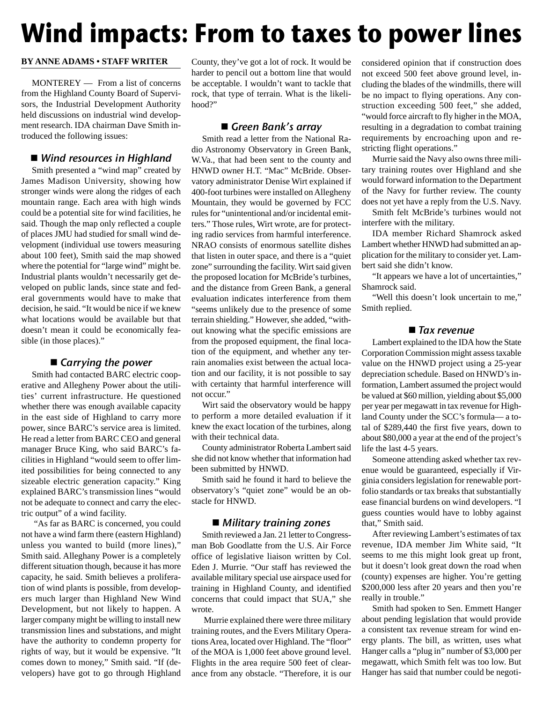# **Wind impacts: From to taxes to power lines**

### **BY ANNE ADAMS • STAFF WRITER**

MONTEREY — From a list of concerns from the Highland County Board of Supervisors, the Industrial Development Authority held discussions on industrial wind development research. IDA chairman Dave Smith introduced the following issues:

# ■ Wind resources in Highland

Smith presented a "wind map" created by James Madison University, showing how stronger winds were along the ridges of each mountain range. Each area with high winds could be a potential site for wind facilities, he said. Though the map only reflected a couple of places JMU had studied for small wind development (individual use towers measuring about 100 feet), Smith said the map showed where the potential for "large wind" might be. Industrial plants wouldn't necessarily get developed on public lands, since state and federal governments would have to make that decision, he said. "It would be nice if we knew what locations would be available but that doesn't mean it could be economically feasible (in those places)."

## $\blacksquare$  Carrying the power

Smith had contacted BARC electric cooperative and Allegheny Power about the utilities' current infrastructure. He questioned whether there was enough available capacity in the east side of Highland to carry more power, since BARC's service area is limited. He read a letter from BARC CEO and general manager Bruce King, who said BARC's facilities in Highland "would seem to offer limited possibilities for being connected to any sizeable electric generation capacity." King explained BARC's transmission lines "would not be adequate to connect and carry the electric output" of a wind facility.

"As far as BARC is concerned, you could not have a wind farm there (eastern Highland) unless you wanted to build (more lines)," Smith said. Alleghany Power is a completely different situation though, because it has more capacity, he said. Smith believes a proliferation of wind plants is possible, from developers much larger than Highland New Wind Development, but not likely to happen. A larger company might be willing to install new transmission lines and substations, and might have the authority to condemn property for rights of way, but it would be expensive. "It comes down to money," Smith said. "If (developers) have got to go through Highland

County, they've got a lot of rock. It would be harder to pencil out a bottom line that would be acceptable. I wouldn't want to tackle that rock, that type of terrain. What is the likelihood?"

## Green Bank's array

Smith read a letter from the National Radio Astronomy Observatory in Green Bank, W.Va., that had been sent to the county and HNWD owner H.T. "Mac" McBride. Observatory administrator Denise Wirt explained if 400-foot turbines were installed on Allegheny Mountain, they would be governed by FCC rules for "unintentional and/or incidental emitters." Those rules, Wirt wrote, are for protecting radio services from harmful interference. NRAO consists of enormous satellite dishes that listen in outer space, and there is a "quiet zone" surrounding the facility. Wirt said given the proposed location for McBride's turbines, and the distance from Green Bank, a general evaluation indicates interference from them "seems unlikely due to the presence of some terrain shielding." However, she added, "without knowing what the specific emissions are from the proposed equipment, the final location of the equipment, and whether any terrain anomalies exist between the actual location and our facility, it is not possible to say with certainty that harmful interference will not occur."

Wirt said the observatory would be happy to perform a more detailed evaluation if it knew the exact location of the turbines, along with their technical data.

County administrator Roberta Lambert said she did not know whether that information had been submitted by HNWD.

Smith said he found it hard to believe the observatory's "quiet zone" would be an obstacle for HNWD.

## ■ Military training zones

Smith reviewed a Jan. 21 letter to Congressman Bob Goodlatte from the U.S. Air Force office of legislative liaison written by Col. Eden J. Murrie. "Our staff has reviewed the available military special use airspace used for training in Highland County, and identified concerns that could impact that SUA," she wrote.

Murrie explained there were three military training routes, and the Evers Military Operations Area, located over Highland. The "floor" of the MOA is 1,000 feet above ground level. Flights in the area require 500 feet of clearance from any obstacle. "Therefore, it is our

considered opinion that if construction does not exceed 500 feet above ground level, including the blades of the windmills, there will be no impact to flying operations. Any construction exceeding 500 feet," she added, "would force aircraft to fly higher in the MOA, resulting in a degradation to combat training requirements by encroaching upon and restricting flight operations."

Murrie said the Navy also owns three military training routes over Highland and she would forward information to the Department of the Navy for further review. The county does not yet have a reply from the U.S. Navy.

Smith felt McBride's turbines would not interfere with the military.

IDA member Richard Shamrock asked Lambert whether HNWD had submitted an application for the military to consider yet. Lambert said she didn't know.

"It appears we have a lot of uncertainties," Shamrock said.

"Well this doesn't look uncertain to me," Smith replied.

## $\blacksquare$  Tax revenue

Lambert explained to the IDA how the State Corporation Commission might assess taxable value on the HNWD project using a 25-year depreciation schedule. Based on HNWD's information, Lambert assumed the project would be valued at \$60 million, yielding about \$5,000 per year per megawatt in tax revenue for Highland County under the SCC's formula— a total of \$289,440 the first five years, down to about \$80,000 a year at the end of the project's life the last 4-5 years.

Someone attending asked whether tax revenue would be guaranteed, especially if Virginia considers legislation for renewable portfolio standards or tax breaks that substantially ease financial burdens on wind developers. "I guess counties would have to lobby against that," Smith said.

After reviewing Lambert's estimates of tax revenue, IDA member Jim White said, "It seems to me this might look great up front, but it doesn't look great down the road when (county) expenses are higher. You're getting \$200,000 less after 20 years and then you're really in trouble."

Smith had spoken to Sen. Emmett Hanger about pending legislation that would provide a consistent tax revenue stream for wind energy plants. The bill, as written, uses what Hanger calls a "plug in" number of \$3,000 per megawatt, which Smith felt was too low. But Hanger has said that number could be negoti-